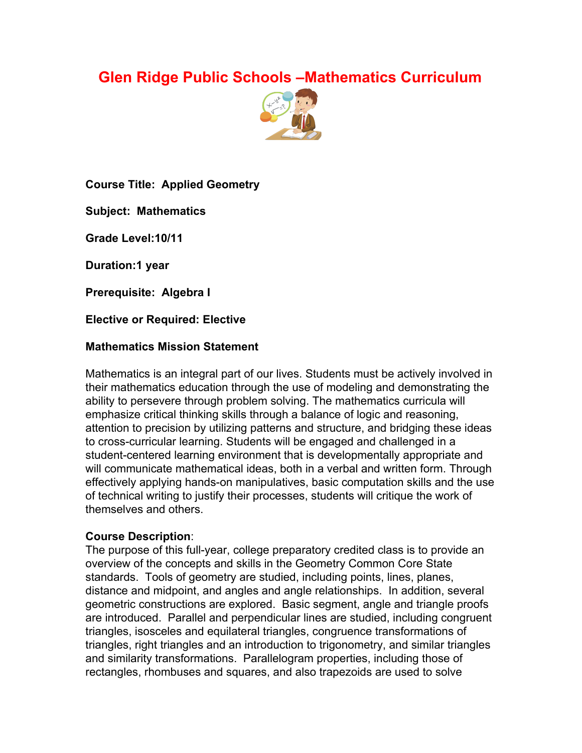# **Glen Ridge Public Schools –Mathematics Curriculum**



**Course Title: Applied Geometry**

**Subject: Mathematics**

**Grade Level:10/11**

**Duration:1 year**

**Prerequisite: Algebra I**

**Elective or Required: Elective**

### **Mathematics Mission Statement**

Mathematics is an integral part of our lives. Students must be actively involved in their mathematics education through the use of modeling and demonstrating the ability to persevere through problem solving. The mathematics curricula will emphasize critical thinking skills through a balance of logic and reasoning, attention to precision by utilizing patterns and structure, and bridging these ideas to cross-curricular learning. Students will be engaged and challenged in a student-centered learning environment that is developmentally appropriate and will communicate mathematical ideas, both in a verbal and written form. Through effectively applying hands-on manipulatives, basic computation skills and the use of technical writing to justify their processes, students will critique the work of themselves and others.

### **Course Description**:

The purpose of this full-year, college preparatory credited class is to provide an overview of the concepts and skills in the Geometry Common Core State standards. Tools of geometry are studied, including points, lines, planes, distance and midpoint, and angles and angle relationships. In addition, several geometric constructions are explored. Basic segment, angle and triangle proofs are introduced. Parallel and perpendicular lines are studied, including congruent triangles, isosceles and equilateral triangles, congruence transformations of triangles, right triangles and an introduction to trigonometry, and similar triangles and similarity transformations. Parallelogram properties, including those of rectangles, rhombuses and squares, and also trapezoids are used to solve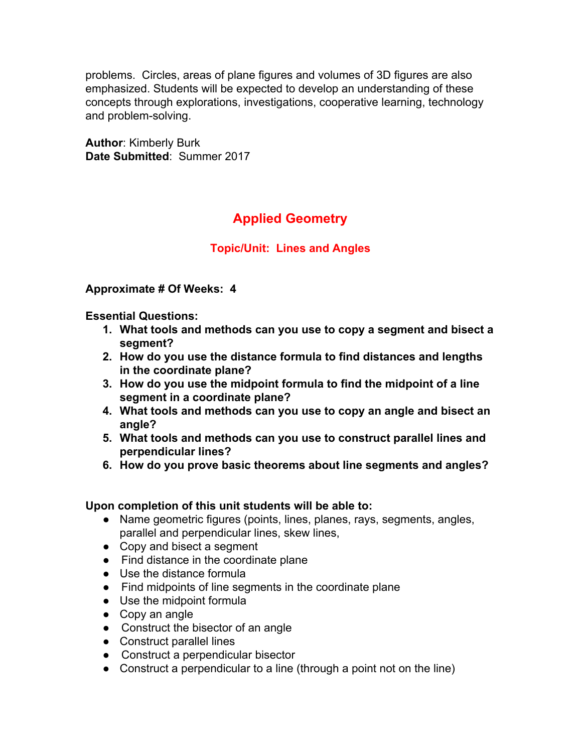problems. Circles, areas of plane figures and volumes of 3D figures are also emphasized. Students will be expected to develop an understanding of these concepts through explorations, investigations, cooperative learning, technology and problem-solving.

**Author**: Kimberly Burk **Date Submitted**: Summer 2017

# **Applied Geometry**

# **Topic/Unit: Lines and Angles**

### **Approximate # Of Weeks: 4**

**Essential Questions:**

- **1. What tools and methods can you use to copy a segment and bisect a segment?**
- **2. How do you use the distance formula to find distances and lengths in the coordinate plane?**
- **3. How do you use the midpoint formula to find the midpoint of a line segment in a coordinate plane?**
- **4. What tools and methods can you use to copy an angle and bisect an angle?**
- **5. What tools and methods can you use to construct parallel lines and perpendicular lines?**
- **6. How do you prove basic theorems about line segments and angles?**

### **Upon completion of this unit students will be able to:**

- Name geometric figures (points, lines, planes, rays, segments, angles, parallel and perpendicular lines, skew lines,
- Copy and bisect a segment
- Find distance in the coordinate plane
- Use the distance formula
- Find midpoints of line segments in the coordinate plane
- Use the midpoint formula
- Copy an angle
- Construct the bisector of an angle
- Construct parallel lines
- Construct a perpendicular bisector
- Construct a perpendicular to a line (through a point not on the line)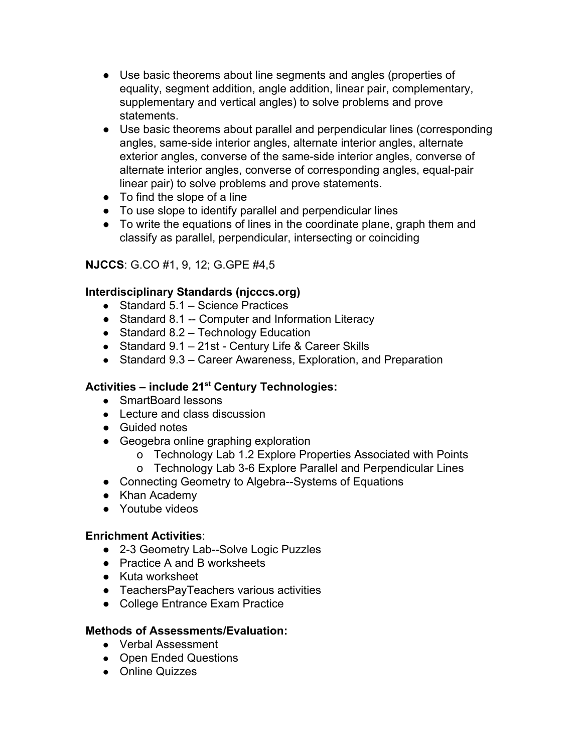- Use basic theorems about line segments and angles (properties of equality, segment addition, angle addition, linear pair, complementary, supplementary and vertical angles) to solve problems and prove statements.
- Use basic theorems about parallel and perpendicular lines (corresponding angles, same-side interior angles, alternate interior angles, alternate exterior angles, converse of the same-side interior angles, converse of alternate interior angles, converse of corresponding angles, equal-pair linear pair) to solve problems and prove statements.
- To find the slope of a line
- To use slope to identify parallel and perpendicular lines
- To write the equations of lines in the coordinate plane, graph them and classify as parallel, perpendicular, intersecting or coinciding

# **NJCCS**: G.CO #1, 9, 12; G.GPE #4,5

# **Interdisciplinary Standards (njcccs.org)**

- Standard 5.1 Science Practices
- Standard 8.1 -- Computer and Information Literacy
- Standard  $8.2 -$  Technology Education
- Standard 9.1 21st Century Life & Career Skills
- Standard 9.3 Career Awareness, Exploration, and Preparation

# **Activities – include 21 st Century Technologies:**

- SmartBoard lessons
- Lecture and class discussion
- Guided notes
- Geogebra online graphing exploration
	- o Technology Lab 1.2 Explore Properties Associated with Points
	- o Technology Lab 3-6 Explore Parallel and Perpendicular Lines
- Connecting Geometry to Algebra--Systems of Equations
- Khan Academy
- Youtube videos

### **Enrichment Activities**:

- 2-3 Geometry Lab--Solve Logic Puzzles
- Practice A and B worksheets
- Kuta worksheet
- TeachersPayTeachers various activities
- College Entrance Exam Practice

### **Methods of Assessments/Evaluation:**

- Verbal Assessment
- Open Ended Questions
- Online Quizzes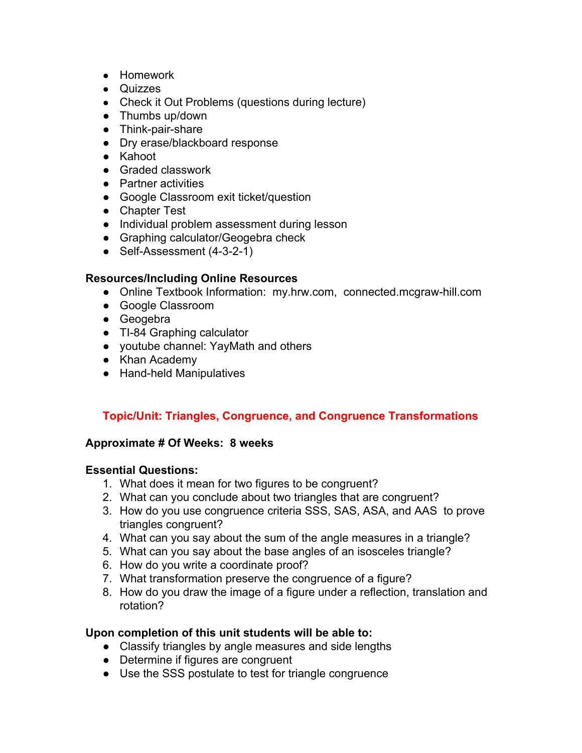- Homework
- Quizzes
- Check it Out Problems (questions during lecture)
- Thumbs up/down
- Think-pair-share
- Dry erase/blackboard response
- Kahoot
- Graded classwork
- Partner activities
- Google Classroom exit ticket/question
- Chapter Test
- Individual problem assessment during lesson
- Graphing calculator/Geogebra check
- Self-Assessment (4-3-2-1)

- Online Textbook Information: my.hrw.com, connected.mcgraw-hill.com
- Google Classroom
- Geogebra
- TI-84 Graphing calculator
- youtube channel: YayMath and others
- Khan Academy
- Hand-held Manipulatives

# **Topic/Unit: Triangles, Congruence, and Congruence Transformations**

### **Approximate # Of Weeks: 8 weeks**

### **Essential Questions:**

- 1. What does it mean for two figures to be congruent?
- 2. What can you conclude about two triangles that are congruent?
- 3. How do you use congruence criteria SSS, SAS, ASA, and AAS to prove triangles congruent?
- 4. What can you say about the sum of the angle measures in a triangle?
- 5. What can you say about the base angles of an isosceles triangle?
- 6. How do you write a coordinate proof?
- 7. What transformation preserve the congruence of a figure?
- 8. How do you draw the image of a figure under a reflection, translation and rotation?

### **Upon completion of this unit students will be able to:**

- Classify triangles by angle measures and side lengths
- Determine if figures are congruent
- Use the SSS postulate to test for triangle congruence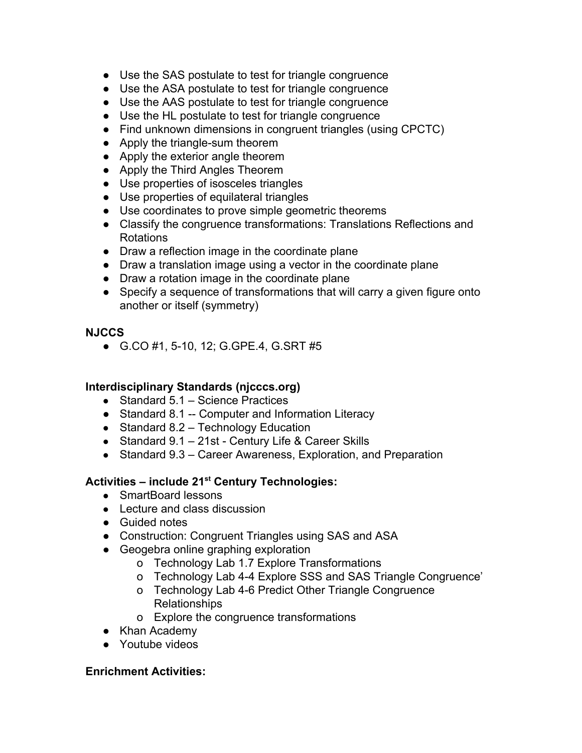- Use the SAS postulate to test for triangle congruence
- Use the ASA postulate to test for triangle congruence
- Use the AAS postulate to test for triangle congruence
- Use the HL postulate to test for triangle congruence
- Find unknown dimensions in congruent triangles (using CPCTC)
- Apply the triangle-sum theorem
- Apply the exterior angle theorem
- Apply the Third Angles Theorem
- Use properties of isosceles triangles
- Use properties of equilateral triangles
- Use coordinates to prove simple geometric theorems
- Classify the congruence transformations: Translations Reflections and Rotations
- Draw a reflection image in the coordinate plane
- Draw a translation image using a vector in the coordinate plane
- Draw a rotation image in the coordinate plane
- Specify a sequence of transformations that will carry a given figure onto another or itself (symmetry)

### **NJCCS**

● G.CO #1, 5-10, 12; G.GPE.4, G.SRT #5

# **Interdisciplinary Standards (njcccs.org)**

- Standard 5.1 Science Practices
- Standard 8.1 -- Computer and Information Literacy
- Standard 8.2 Technology Education
- Standard 9.1 21st Century Life & Career Skills
- Standard 9.3 Career Awareness, Exploration, and Preparation

# **Activities – include 21 st Century Technologies:**

- SmartBoard lessons
- Lecture and class discussion
- Guided notes
- Construction: Congruent Triangles using SAS and ASA
- Geogebra online graphing exploration
	- o Technology Lab 1.7 Explore Transformations
	- o Technology Lab 4-4 Explore SSS and SAS Triangle Congruence'
	- o Technology Lab 4-6 Predict Other Triangle Congruence Relationships
	- o Explore the congruence transformations
- Khan Academy
- Youtube videos

### **Enrichment Activities:**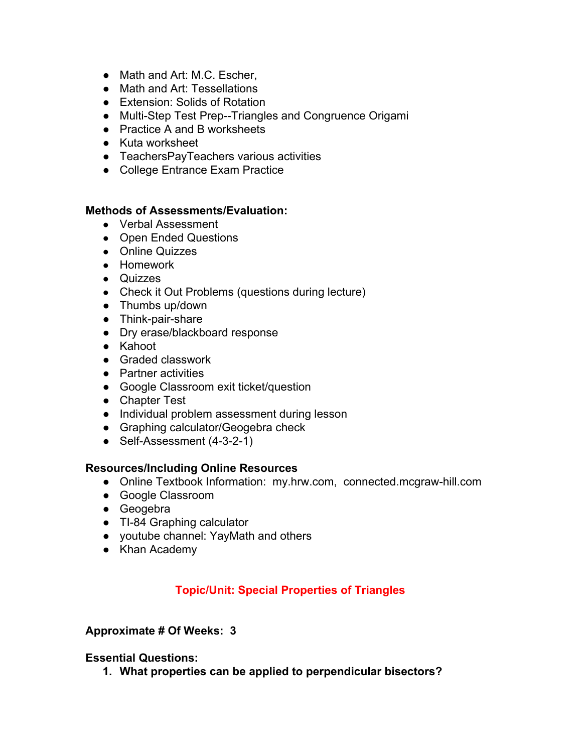- Math and Art: M.C. Escher,
- Math and Art: Tessellations
- Extension: Solids of Rotation
- Multi-Step Test Prep--Triangles and Congruence Origami
- Practice A and B worksheets
- Kuta worksheet
- TeachersPayTeachers various activities
- College Entrance Exam Practice

#### **Methods of Assessments/Evaluation:**

- Verbal Assessment
- Open Ended Questions
- Online Quizzes
- Homework
- Quizzes
- Check it Out Problems (questions during lecture)
- Thumbs up/down
- Think-pair-share
- Dry erase/blackboard response
- Kahoot
- Graded classwork
- Partner activities
- Google Classroom exit ticket/question
- Chapter Test
- Individual problem assessment during lesson
- Graphing calculator/Geogebra check
- Self-Assessment (4-3-2-1)

### **Resources/Including Online Resources**

- Online Textbook Information: my.hrw.com, connected.mcgraw-hill.com
- Google Classroom
- Geogebra
- TI-84 Graphing calculator
- youtube channel: YayMath and others
- Khan Academy

# **Topic/Unit: Special Properties of Triangles**

### **Approximate # Of Weeks: 3**

### **Essential Questions:**

**1. What properties can be applied to perpendicular bisectors?**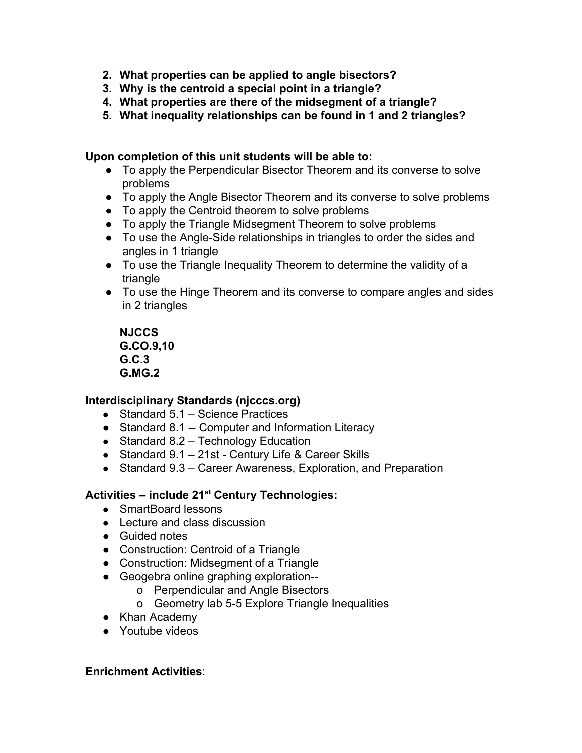- **2. What properties can be applied to angle bisectors?**
- **3. Why is the centroid a special point in a triangle?**
- **4. What properties are there of the midsegment of a triangle?**
- **5. What inequality relationships can be found in 1 and 2 triangles?**

#### **Upon completion of this unit students will be able to:**

- To apply the Perpendicular Bisector Theorem and its converse to solve problems
- To apply the Angle Bisector Theorem and its converse to solve problems
- To apply the Centroid theorem to solve problems
- To apply the Triangle Midsegment Theorem to solve problems
- To use the Angle-Side relationships in triangles to order the sides and angles in 1 triangle
- To use the Triangle Inequality Theorem to determine the validity of a triangle
- To use the Hinge Theorem and its converse to compare angles and sides in 2 triangles

**NJCCS G.CO.9,10 G.C.3 G.MG.2**

### **Interdisciplinary Standards (njcccs.org)**

- Standard 5.1 Science Practices
- Standard 8.1 -- Computer and Information Literacy
- Standard 8.2 Technology Education
- Standard 9.1 21st Century Life & Career Skills
- Standard 9.3 Career Awareness, Exploration, and Preparation

# **Activities – include 21 st Century Technologies:**

- SmartBoard lessons
- Lecture and class discussion
- Guided notes
- Construction: Centroid of a Triangle
- Construction: Midsegment of a Triangle
- Geogebra online graphing exploration-
	- o Perpendicular and Angle Bisectors
	- o Geometry lab 5-5 Explore Triangle Inequalities
- Khan Academy
- Youtube videos

### **Enrichment Activities**: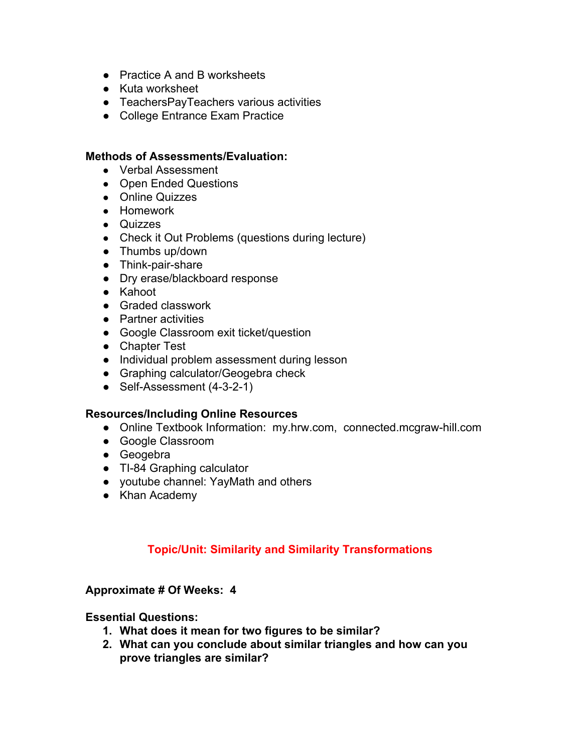- Practice A and B worksheets
- Kuta worksheet
- TeachersPayTeachers various activities
- College Entrance Exam Practice

#### **Methods of Assessments/Evaluation:**

- Verbal Assessment
- Open Ended Questions
- Online Quizzes
- Homework
- Quizzes
- Check it Out Problems (questions during lecture)
- Thumbs up/down
- Think-pair-share
- Dry erase/blackboard response
- Kahoot
- Graded classwork
- Partner activities
- Google Classroom exit ticket/question
- Chapter Test
- Individual problem assessment during lesson
- Graphing calculator/Geogebra check
- Self-Assessment (4-3-2-1)

### **Resources/Including Online Resources**

- Online Textbook Information: my.hrw.com, connected.mcgraw-hill.com
- Google Classroom
- Geogebra
- TI-84 Graphing calculator
- youtube channel: YayMath and others
- Khan Academy

# **Topic/Unit: Similarity and Similarity Transformations**

### **Approximate # Of Weeks: 4**

- **1. What does it mean for two figures to be similar?**
- **2. What can you conclude about similar triangles and how can you prove triangles are similar?**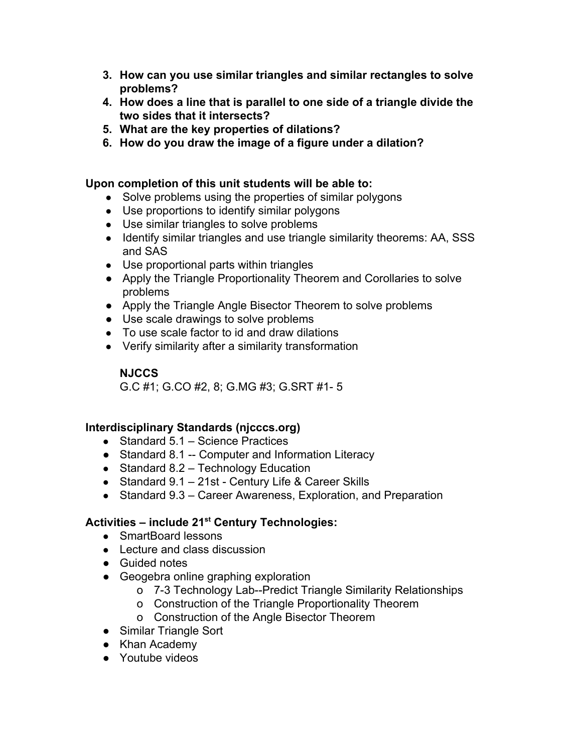- **3. How can you use similar triangles and similar rectangles to solve problems?**
- **4. How does a line that is parallel to one side of a triangle divide the two sides that it intersects?**
- **5. What are the key properties of dilations?**
- **6. How do you draw the image of a figure under a dilation?**

### **Upon completion of this unit students will be able to:**

- Solve problems using the properties of similar polygons
- Use proportions to identify similar polygons
- Use similar triangles to solve problems
- Identify similar triangles and use triangle similarity theorems: AA, SSS and SAS
- Use proportional parts within triangles
- Apply the Triangle Proportionality Theorem and Corollaries to solve problems
- Apply the Triangle Angle Bisector Theorem to solve problems
- Use scale drawings to solve problems
- To use scale factor to id and draw dilations
- Verify similarity after a similarity transformation

# **NJCCS**

G.C #1; G.CO #2, 8; G.MG #3; G.SRT #1- 5

# **Interdisciplinary Standards (njcccs.org)**

- Standard 5.1 Science Practices
- Standard 8.1 -- Computer and Information Literacy
- Standard 8.2 Technology Education
- Standard 9.1 21st Century Life & Career Skills
- Standard 9.3 Career Awareness, Exploration, and Preparation

# **Activities – include 21 st Century Technologies:**

- SmartBoard lessons
- Lecture and class discussion
- Guided notes
- Geogebra online graphing exploration
	- o 7-3 Technology Lab--Predict Triangle Similarity Relationships
	- o Construction of the Triangle Proportionality Theorem
	- o Construction of the Angle Bisector Theorem
- Similar Triangle Sort
- Khan Academy
- Youtube videos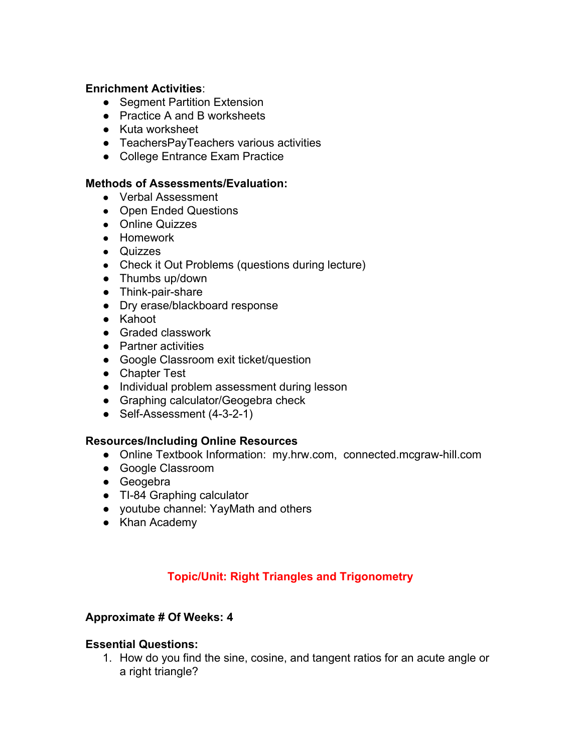### **Enrichment Activities**:

- Segment Partition Extension
- Practice A and B worksheets
- Kuta worksheet
- TeachersPayTeachers various activities
- College Entrance Exam Practice

#### **Methods of Assessments/Evaluation:**

- Verbal Assessment
- Open Ended Questions
- Online Quizzes
- Homework
- Quizzes
- Check it Out Problems (questions during lecture)
- Thumbs up/down
- Think-pair-share
- Dry erase/blackboard response
- Kahoot
- Graded classwork
- Partner activities
- Google Classroom exit ticket/question
- Chapter Test
- Individual problem assessment during lesson
- Graphing calculator/Geogebra check
- Self-Assessment (4-3-2-1)

#### **Resources/Including Online Resources**

- Online Textbook Information: my.hrw.com, connected.mcgraw-hill.com
- Google Classroom
- Geogebra
- TI-84 Graphing calculator
- youtube channel: YayMath and others
- Khan Academy

# **Topic/Unit: Right Triangles and Trigonometry**

#### **Approximate # Of Weeks: 4**

#### **Essential Questions:**

1. How do you find the sine, cosine, and tangent ratios for an acute angle or a right triangle?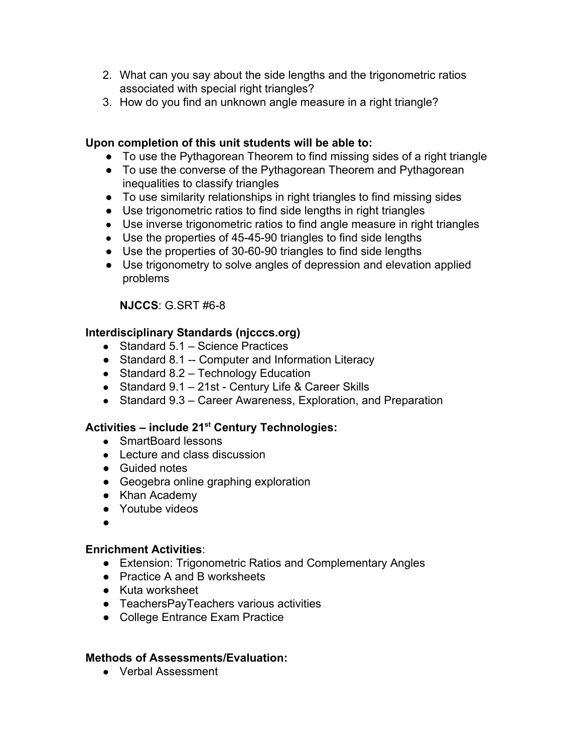- 2. What can you say about the side lengths and the trigonometric ratios associated with special right triangles?
- 3. How do you find an unknown angle measure in a right triangle?

### **Upon completion of this unit students will be able to:**

- To use the Pythagorean Theorem to find missing sides of a right triangle
- To use the converse of the Pythagorean Theorem and Pythagorean inequalities to classify triangles
- To use similarity relationships in right triangles to find missing sides
- Use trigonometric ratios to find side lengths in right triangles
- Use inverse trigonometric ratios to find angle measure in right triangles
- Use the properties of 45-45-90 triangles to find side lengths
- Use the properties of 30-60-90 triangles to find side lengths
- Use trigonometry to solve angles of depression and elevation applied problems

# **NJCCS**: G.SRT #6-8

# **Interdisciplinary Standards (njcccs.org)**

- Standard 5.1 Science Practices
- Standard 8.1 -- Computer and Information Literacy
- Standard 8.2 Technology Education
- Standard 9.1 21st Century Life & Career Skills
- Standard 9.3 Career Awareness, Exploration, and Preparation

# **Activities – include 21 st Century Technologies:**

- SmartBoard lessons
- Lecture and class discussion
- Guided notes
- Geogebra online graphing exploration
- Khan Academy
- Youtube videos
- ●

### **Enrichment Activities**:

- Extension: Trigonometric Ratios and Complementary Angles
- Practice A and B worksheets
- Kuta worksheet
- TeachersPayTeachers various activities
- College Entrance Exam Practice

### **Methods of Assessments/Evaluation:**

● Verbal Assessment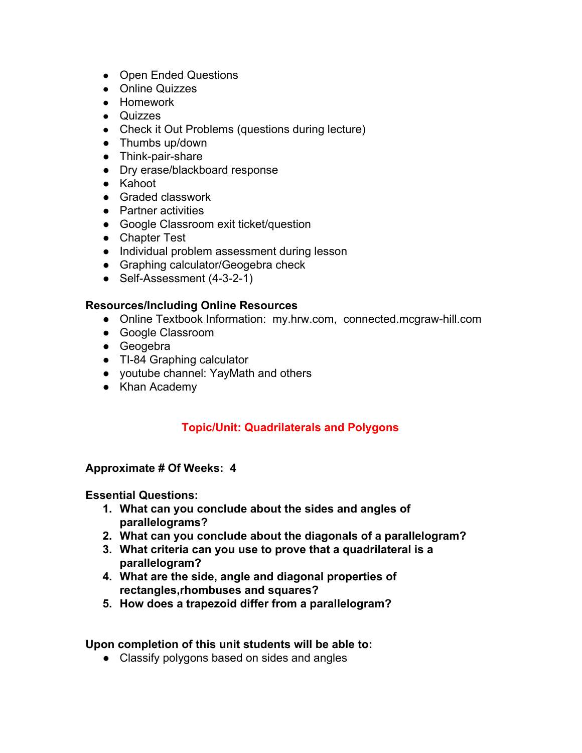- Open Ended Questions
- Online Quizzes
- Homework
- Quizzes
- Check it Out Problems (questions during lecture)
- Thumbs up/down
- Think-pair-share
- Dry erase/blackboard response
- Kahoot
- Graded classwork
- Partner activities
- Google Classroom exit ticket/question
- Chapter Test
- Individual problem assessment during lesson
- Graphing calculator/Geogebra check
- Self-Assessment (4-3-2-1)

- Online Textbook Information: my.hrw.com, connected.mcgraw-hill.com
- Google Classroom
- Geogebra
- TI-84 Graphing calculator
- youtube channel: YayMath and others
- Khan Academy

# **Topic/Unit: Quadrilaterals and Polygons**

### **Approximate # Of Weeks: 4**

### **Essential Questions:**

- **1. What can you conclude about the sides and angles of parallelograms?**
- **2. What can you conclude about the diagonals of a parallelogram?**
- **3. What criteria can you use to prove that a quadrilateral is a parallelogram?**
- **4. What are the side, angle and diagonal properties of rectangles,rhombuses and squares?**
- **5. How does a trapezoid differ from a parallelogram?**

### **Upon completion of this unit students will be able to:**

• Classify polygons based on sides and angles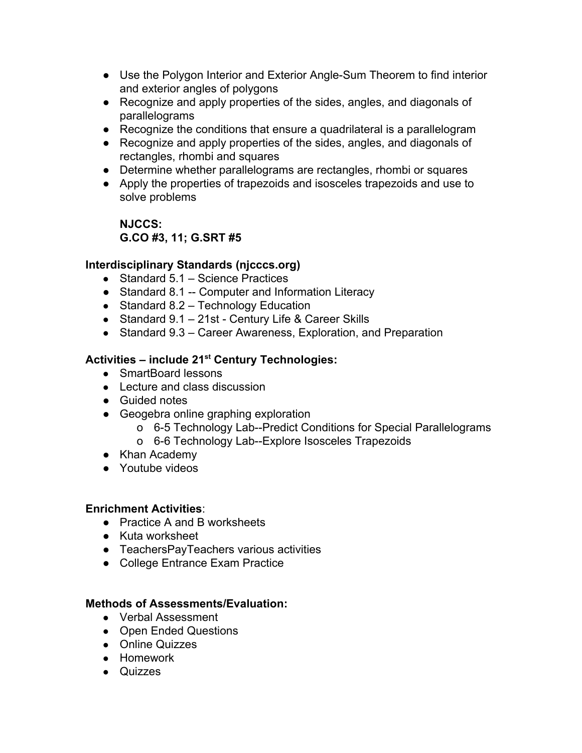- Use the Polygon Interior and Exterior Angle-Sum Theorem to find interior and exterior angles of polygons
- Recognize and apply properties of the sides, angles, and diagonals of parallelograms
- Recognize the conditions that ensure a quadrilateral is a parallelogram
- Recognize and apply properties of the sides, angles, and diagonals of rectangles, rhombi and squares
- Determine whether parallelograms are rectangles, rhombi or squares
- Apply the properties of trapezoids and isosceles trapezoids and use to solve problems

# **NJCCS: G.CO #3, 11; G.SRT #5**

# **Interdisciplinary Standards (njcccs.org)**

- Standard 5.1 Science Practices
- Standard 8.1 -- Computer and Information Literacy
- Standard 8.2 Technology Education
- Standard 9.1 21st Century Life & Career Skills
- Standard 9.3 Career Awareness, Exploration, and Preparation

# **Activities – include 21 st Century Technologies:**

- SmartBoard lessons
- Lecture and class discussion
- Guided notes
- Geogebra online graphing exploration
	- o 6-5 Technology Lab--Predict Conditions for Special Parallelograms
	- o 6-6 Technology Lab--Explore Isosceles Trapezoids
- Khan Academy
- Youtube videos

# **Enrichment Activities**:

- Practice A and B worksheets
- Kuta worksheet
- TeachersPayTeachers various activities
- College Entrance Exam Practice

# **Methods of Assessments/Evaluation:**

- Verbal Assessment
- Open Ended Questions
- Online Quizzes
- Homework
- Quizzes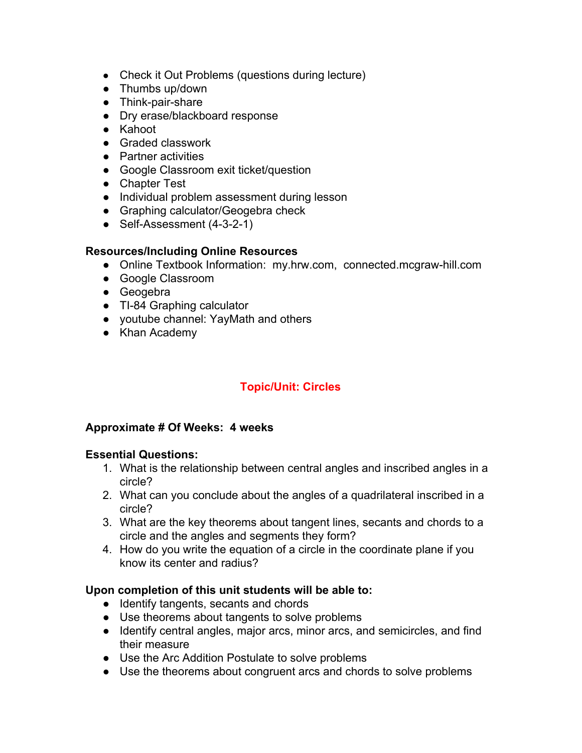- Check it Out Problems (questions during lecture)
- Thumbs up/down
- Think-pair-share
- Dry erase/blackboard response
- Kahoot
- Graded classwork
- Partner activities
- Google Classroom exit ticket/question
- Chapter Test
- Individual problem assessment during lesson
- Graphing calculator/Geogebra check
- Self-Assessment (4-3-2-1)

- Online Textbook Information: my.hrw.com, connected.mcgraw-hill.com
- Google Classroom
- Geogebra
- TI-84 Graphing calculator
- youtube channel: YayMath and others
- Khan Academy

# **Topic/Unit: Circles**

### **Approximate # Of Weeks: 4 weeks**

### **Essential Questions:**

- 1. What is the relationship between central angles and inscribed angles in a circle?
- 2. What can you conclude about the angles of a quadrilateral inscribed in a circle?
- 3. What are the key theorems about tangent lines, secants and chords to a circle and the angles and segments they form?
- 4. How do you write the equation of a circle in the coordinate plane if you know its center and radius?

### **Upon completion of this unit students will be able to:**

- Identify tangents, secants and chords
- Use theorems about tangents to solve problems
- Identify central angles, major arcs, minor arcs, and semicircles, and find their measure
- Use the Arc Addition Postulate to solve problems
- Use the theorems about congruent arcs and chords to solve problems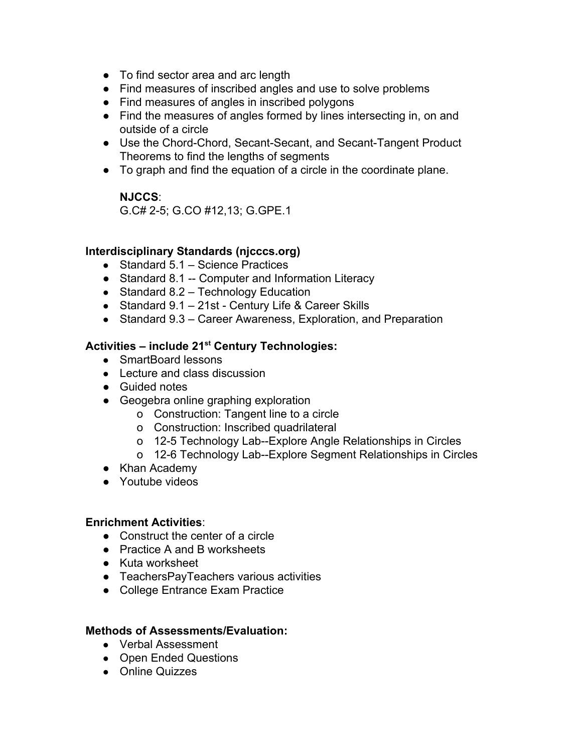- To find sector area and arc length
- Find measures of inscribed angles and use to solve problems
- Find measures of angles in inscribed polygons
- Find the measures of angles formed by lines intersecting in, on and outside of a circle
- Use the Chord-Chord, Secant-Secant, and Secant-Tangent Product Theorems to find the lengths of segments
- To graph and find the equation of a circle in the coordinate plane.

### **NJCCS**:

G.C# 2-5; G.CO #12,13; G.GPE.1

### **Interdisciplinary Standards (njcccs.org)**

- Standard 5.1 Science Practices
- Standard 8.1 -- Computer and Information Literacy
- Standard 8.2 Technology Education
- Standard 9.1 21st Century Life & Career Skills
- Standard 9.3 Career Awareness, Exploration, and Preparation

# **Activities – include 21 st Century Technologies:**

- SmartBoard lessons
- Lecture and class discussion
- Guided notes
- Geogebra online graphing exploration
	- o Construction: Tangent line to a circle
	- o Construction: Inscribed quadrilateral
	- o 12-5 Technology Lab--Explore Angle Relationships in Circles
	- o 12-6 Technology Lab--Explore Segment Relationships in Circles
- Khan Academy
- Youtube videos

### **Enrichment Activities**:

- Construct the center of a circle
- Practice A and B worksheets
- Kuta worksheet
- TeachersPayTeachers various activities
- College Entrance Exam Practice

### **Methods of Assessments/Evaluation:**

- Verbal Assessment
- Open Ended Questions
- Online Quizzes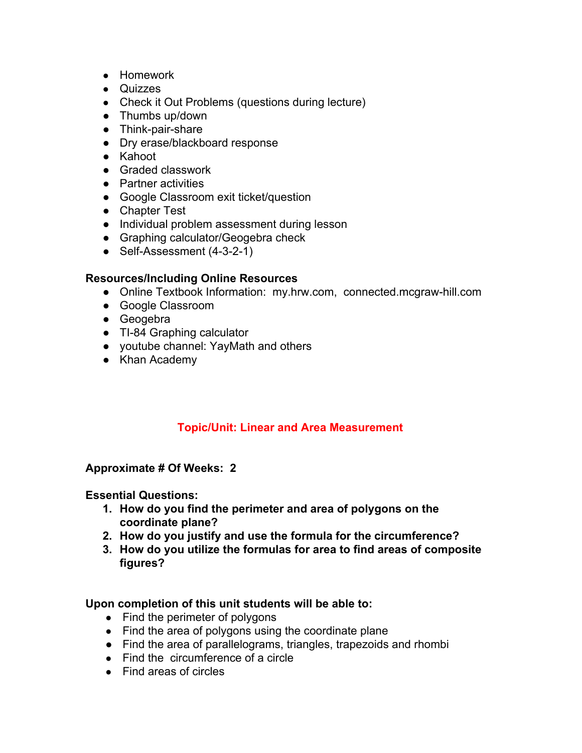- Homework
- Quizzes
- Check it Out Problems (questions during lecture)
- Thumbs up/down
- Think-pair-share
- Dry erase/blackboard response
- Kahoot
- Graded classwork
- Partner activities
- Google Classroom exit ticket/question
- Chapter Test
- Individual problem assessment during lesson
- Graphing calculator/Geogebra check
- Self-Assessment (4-3-2-1)

- Online Textbook Information: my.hrw.com, connected.mcgraw-hill.com
- Google Classroom
- Geogebra
- TI-84 Graphing calculator
- youtube channel: YayMath and others
- Khan Academy

# **Topic/Unit: Linear and Area Measurement**

### **Approximate # Of Weeks: 2**

### **Essential Questions:**

- **1. How do you find the perimeter and area of polygons on the coordinate plane?**
- **2. How do you justify and use the formula for the circumference?**
- **3. How do you utilize the formulas for area to find areas of composite figures?**

### **Upon completion of this unit students will be able to:**

- Find the perimeter of polygons
- Find the area of polygons using the coordinate plane
- Find the area of parallelograms, triangles, trapezoids and rhombi
- Find the circumference of a circle
- Find areas of circles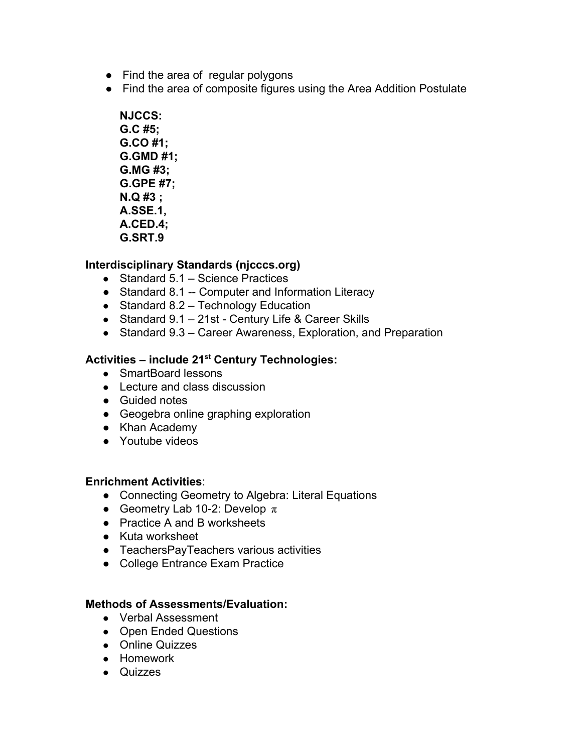- Find the area of regular polygons
- Find the area of composite figures using the Area Addition Postulate
	- **NJCCS: G.C #5; G.CO #1; G.GMD #1; G.MG #3; G.GPE #7; N.Q #3 ; A.SSE.1, A.CED.4; G.SRT.9**

# **Interdisciplinary Standards (njcccs.org)**

- Standard 5.1 Science Practices
- Standard 8.1 -- Computer and Information Literacy
- Standard 8.2 Technology Education
- Standard 9.1 21st Century Life & Career Skills
- Standard 9.3 Career Awareness, Exploration, and Preparation

# **Activities – include 21 st Century Technologies:**

- SmartBoard lessons
- Lecture and class discussion
- Guided notes
- Geogebra online graphing exploration
- Khan Academy
- Youtube videos

### **Enrichment Activities**:

- Connecting Geometry to Algebra: Literal Equations
- Geometry Lab 10-2: Develop  $\pi$
- Practice A and B worksheets
- Kuta worksheet
- TeachersPayTeachers various activities
- College Entrance Exam Practice

### **Methods of Assessments/Evaluation:**

- Verbal Assessment
- Open Ended Questions
- Online Quizzes
- Homework
- Quizzes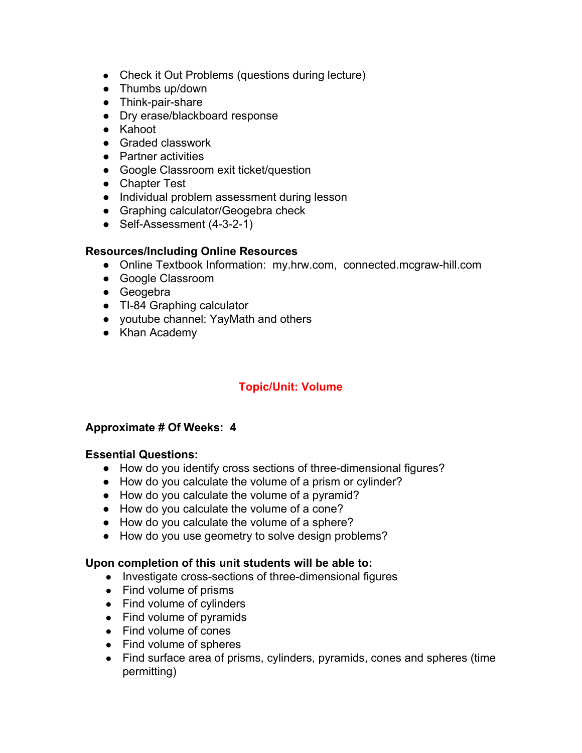- Check it Out Problems (questions during lecture)
- Thumbs up/down
- Think-pair-share
- Dry erase/blackboard response
- Kahoot
- Graded classwork
- Partner activities
- Google Classroom exit ticket/question
- Chapter Test
- Individual problem assessment during lesson
- Graphing calculator/Geogebra check
- Self-Assessment (4-3-2-1)

- Online Textbook Information: my.hrw.com, connected.mcgraw-hill.com
- Google Classroom
- Geogebra
- TI-84 Graphing calculator
- youtube channel: YayMath and others
- Khan Academy

# **Topic/Unit: Volume**

### **Approximate # Of Weeks: 4**

### **Essential Questions:**

- How do you identify cross sections of three-dimensional figures?
- How do you calculate the volume of a prism or cylinder?
- How do you calculate the volume of a pyramid?
- How do you calculate the volume of a cone?
- How do you calculate the volume of a sphere?
- How do you use geometry to solve design problems?

### **Upon completion of this unit students will be able to:**

- Investigate cross-sections of three-dimensional figures
- Find volume of prisms
- Find volume of cylinders
- Find volume of pyramids
- Find volume of cones
- Find volume of spheres
- Find surface area of prisms, cylinders, pyramids, cones and spheres (time permitting)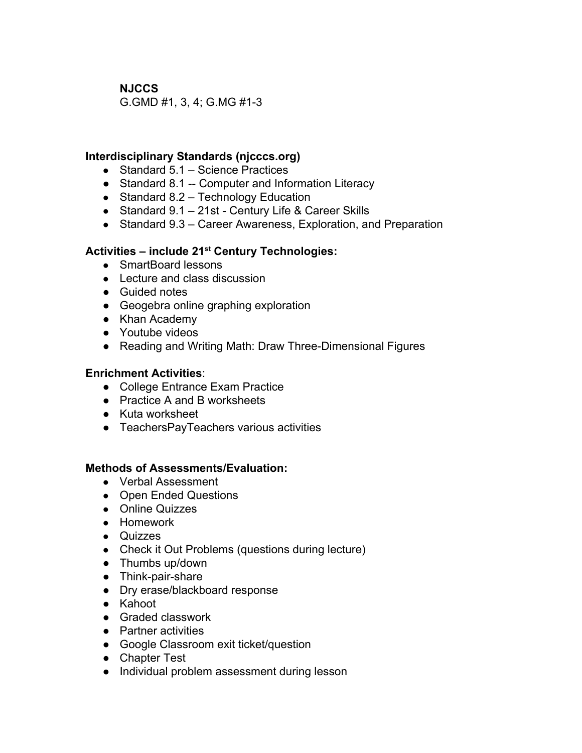**NJCCS**

G.GMD #1, 3, 4; G.MG #1-3

### **Interdisciplinary Standards (njcccs.org)**

- Standard 5.1 Science Practices
- Standard 8.1 -- Computer and Information Literacy
- $\bullet$  Standard 8.2 Technology Education
- Standard 9.1 21st Century Life & Career Skills
- Standard 9.3 Career Awareness, Exploration, and Preparation

# **Activities – include 21 st Century Technologies:**

- SmartBoard lessons
- Lecture and class discussion
- Guided notes
- Geogebra online graphing exploration
- Khan Academy
- Youtube videos
- Reading and Writing Math: Draw Three-Dimensional Figures

### **Enrichment Activities**:

- College Entrance Exam Practice
- Practice A and B worksheets
- Kuta worksheet
- TeachersPayTeachers various activities

### **Methods of Assessments/Evaluation:**

- Verbal Assessment
- Open Ended Questions
- Online Quizzes
- Homework
- Quizzes
- Check it Out Problems (questions during lecture)
- Thumbs up/down
- Think-pair-share
- Dry erase/blackboard response
- Kahoot
- Graded classwork
- Partner activities
- Google Classroom exit ticket/question
- Chapter Test
- Individual problem assessment during lesson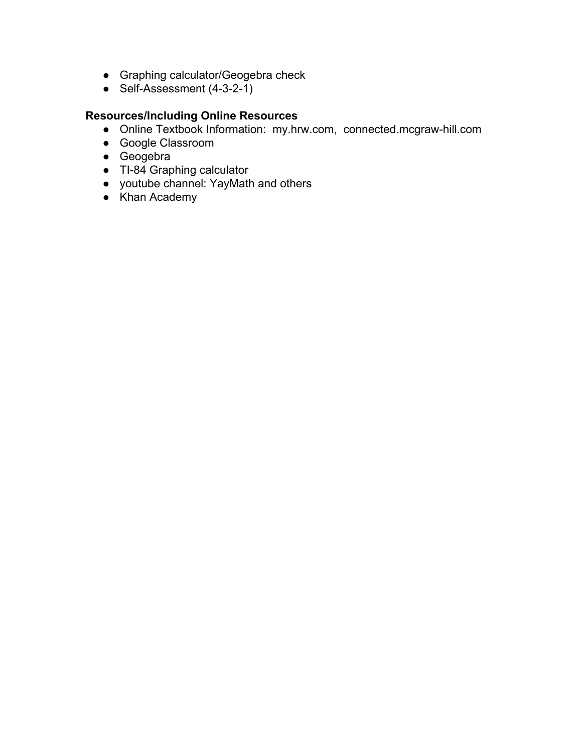- Graphing calculator/Geogebra check
- Self-Assessment (4-3-2-1)

- Online Textbook Information: my.hrw.com, connected.mcgraw-hill.com
- Google Classroom
- Geogebra
- Tl-84 Graphing calculator
- youtube channel: YayMath and others
- Khan Academy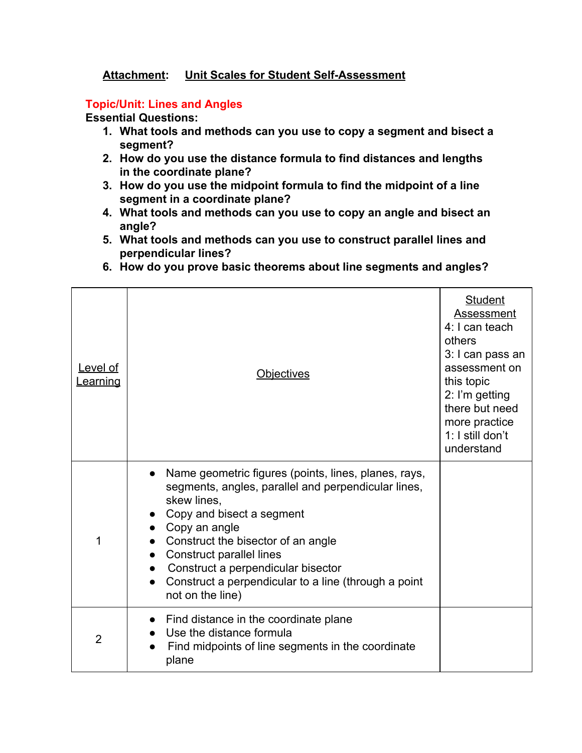# **Attachment: Unit Scales for Student Self-Assessment**

### **Topic/Unit: Lines and Angles**

- **1. What tools and methods can you use to copy a segment and bisect a segment?**
- **2. How do you use the distance formula to find distances and lengths in the coordinate plane?**
- **3. How do you use the midpoint formula to find the midpoint of a line segment in a coordinate plane?**
- **4. What tools and methods can you use to copy an angle and bisect an angle?**
- **5. What tools and methods can you use to construct parallel lines and perpendicular lines?**
- **6. How do you prove basic theorems about line segments and angles?**

| Level of<br><u>Learning</u> | <b>Objectives</b>                                                                                                                                                                                                                                                                                                                                                   | <b>Student</b><br><b>Assessment</b><br>4: I can teach<br>others<br>3: I can pass an<br>assessment on<br>this topic<br>2: I'm getting<br>there but need<br>more practice<br>1: I still don't<br>understand |
|-----------------------------|---------------------------------------------------------------------------------------------------------------------------------------------------------------------------------------------------------------------------------------------------------------------------------------------------------------------------------------------------------------------|-----------------------------------------------------------------------------------------------------------------------------------------------------------------------------------------------------------|
| 1                           | Name geometric figures (points, lines, planes, rays,<br>segments, angles, parallel and perpendicular lines,<br>skew lines.<br>Copy and bisect a segment<br>Copy an angle<br>Construct the bisector of an angle<br><b>Construct parallel lines</b><br>Construct a perpendicular bisector<br>Construct a perpendicular to a line (through a point<br>not on the line) |                                                                                                                                                                                                           |
| 2                           | Find distance in the coordinate plane<br>Use the distance formula<br>Find midpoints of line segments in the coordinate<br>plane                                                                                                                                                                                                                                     |                                                                                                                                                                                                           |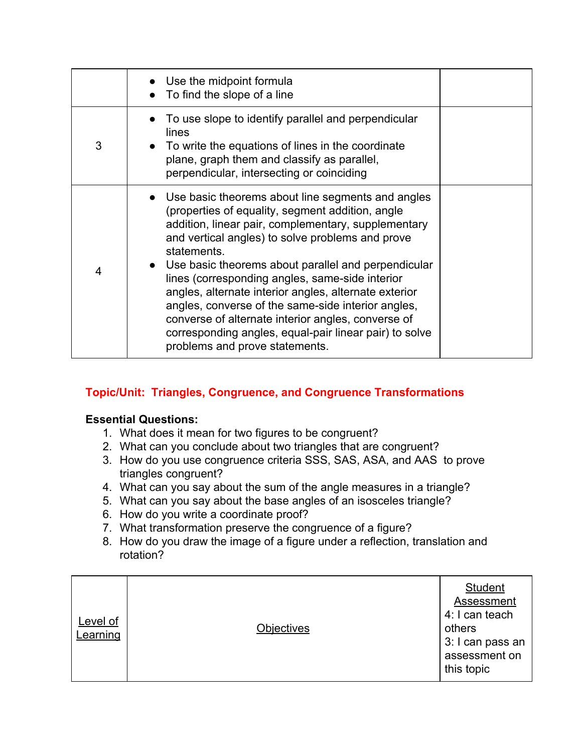|   | Use the midpoint formula<br>To find the slope of a line                                                                                                                                                                                                                                                                                                                                                                                                                                                                                                                                                      |  |
|---|--------------------------------------------------------------------------------------------------------------------------------------------------------------------------------------------------------------------------------------------------------------------------------------------------------------------------------------------------------------------------------------------------------------------------------------------------------------------------------------------------------------------------------------------------------------------------------------------------------------|--|
| 3 | To use slope to identify parallel and perpendicular<br>lines<br>• To write the equations of lines in the coordinate<br>plane, graph them and classify as parallel,<br>perpendicular, intersecting or coinciding                                                                                                                                                                                                                                                                                                                                                                                              |  |
| 4 | • Use basic theorems about line segments and angles<br>(properties of equality, segment addition, angle<br>addition, linear pair, complementary, supplementary<br>and vertical angles) to solve problems and prove<br>statements.<br>Use basic theorems about parallel and perpendicular<br>lines (corresponding angles, same-side interior<br>angles, alternate interior angles, alternate exterior<br>angles, converse of the same-side interior angles,<br>converse of alternate interior angles, converse of<br>corresponding angles, equal-pair linear pair) to solve<br>problems and prove statements. |  |

# **Topic/Unit: Triangles, Congruence, and Congruence Transformations**

- 1. What does it mean for two figures to be congruent?
- 2. What can you conclude about two triangles that are congruent?
- 3. How do you use congruence criteria SSS, SAS, ASA, and AAS to prove triangles congruent?
- 4. What can you say about the sum of the angle measures in a triangle?
- 5. What can you say about the base angles of an isosceles triangle?
- 6. How do you write a coordinate proof?
- 7. What transformation preserve the congruence of a figure?
- 8. How do you draw the image of a figure under a reflection, translation and rotation?

| <u>Level of</u><br>Learning | <b>Objectives</b> | <b>Student</b><br>Assessment<br>4: I can teach<br>others<br>3: I can pass an<br>assessment on<br>this topic |
|-----------------------------|-------------------|-------------------------------------------------------------------------------------------------------------|
|-----------------------------|-------------------|-------------------------------------------------------------------------------------------------------------|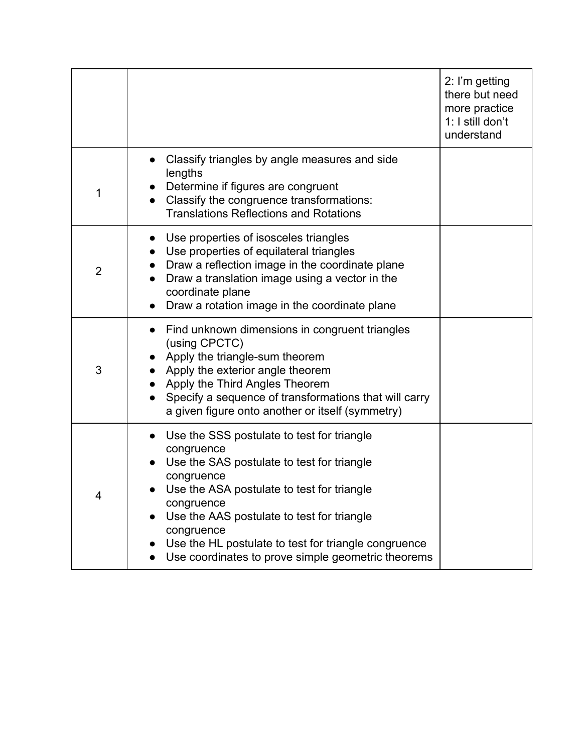|                |                                                                                                                                                                                                                                                                                                                                                                         | 2: I'm getting<br>there but need<br>more practice<br>1: I still don't<br>understand |
|----------------|-------------------------------------------------------------------------------------------------------------------------------------------------------------------------------------------------------------------------------------------------------------------------------------------------------------------------------------------------------------------------|-------------------------------------------------------------------------------------|
| 1              | Classify triangles by angle measures and side<br>lengths<br>Determine if figures are congruent<br>Classify the congruence transformations:<br><b>Translations Reflections and Rotations</b>                                                                                                                                                                             |                                                                                     |
| $\overline{2}$ | Use properties of isosceles triangles<br>Use properties of equilateral triangles<br>Draw a reflection image in the coordinate plane<br>Draw a translation image using a vector in the<br>coordinate plane<br>Draw a rotation image in the coordinate plane                                                                                                              |                                                                                     |
| 3              | Find unknown dimensions in congruent triangles<br>(using CPCTC)<br>Apply the triangle-sum theorem<br>Apply the exterior angle theorem<br>Apply the Third Angles Theorem<br>Specify a sequence of transformations that will carry<br>a given figure onto another or itself (symmetry)                                                                                    |                                                                                     |
| 4              | Use the SSS postulate to test for triangle<br>$\bullet$<br>congruence<br>Use the SAS postulate to test for triangle<br>congruence<br>Use the ASA postulate to test for triangle<br>congruence<br>Use the AAS postulate to test for triangle<br>congruence<br>Use the HL postulate to test for triangle congruence<br>Use coordinates to prove simple geometric theorems |                                                                                     |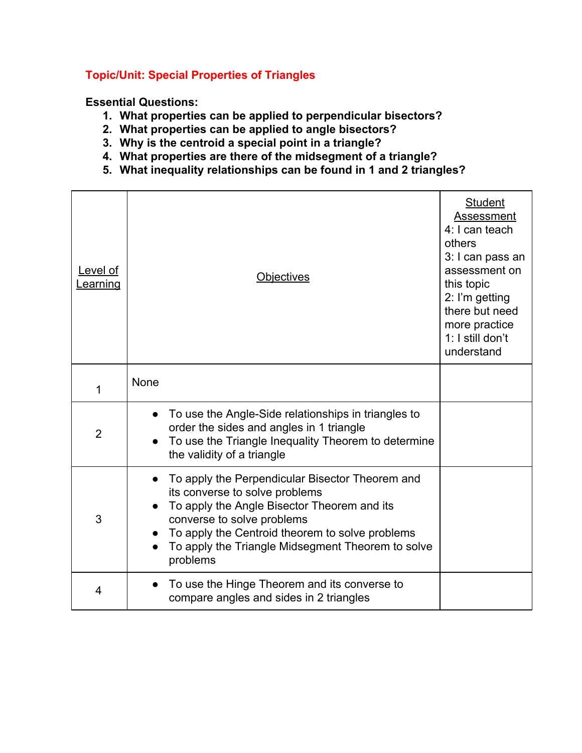# **Topic/Unit: Special Properties of Triangles**

- **1. What properties can be applied to perpendicular bisectors?**
- **2. What properties can be applied to angle bisectors?**
- **3. Why is the centroid a special point in a triangle?**
- **4. What properties are there of the midsegment of a triangle?**
- **5. What inequality relationships can be found in 1 and 2 triangles?**

| Level of<br><u>Learning</u> | <u>Objectives</u>                                                                                                                                                                                                                                                                  | <b>Student</b><br><b>Assessment</b><br>4: I can teach<br>others<br>3: I can pass an<br>assessment on<br>this topic<br>2: I'm getting<br>there but need<br>more practice<br>1: I still don't<br>understand |
|-----------------------------|------------------------------------------------------------------------------------------------------------------------------------------------------------------------------------------------------------------------------------------------------------------------------------|-----------------------------------------------------------------------------------------------------------------------------------------------------------------------------------------------------------|
| 1                           | None                                                                                                                                                                                                                                                                               |                                                                                                                                                                                                           |
| $\overline{2}$              | To use the Angle-Side relationships in triangles to<br>order the sides and angles in 1 triangle<br>To use the Triangle Inequality Theorem to determine<br>the validity of a triangle                                                                                               |                                                                                                                                                                                                           |
| 3                           | To apply the Perpendicular Bisector Theorem and<br>its converse to solve problems<br>To apply the Angle Bisector Theorem and its<br>converse to solve problems<br>To apply the Centroid theorem to solve problems<br>To apply the Triangle Midsegment Theorem to solve<br>problems |                                                                                                                                                                                                           |
| 4                           | To use the Hinge Theorem and its converse to<br>compare angles and sides in 2 triangles                                                                                                                                                                                            |                                                                                                                                                                                                           |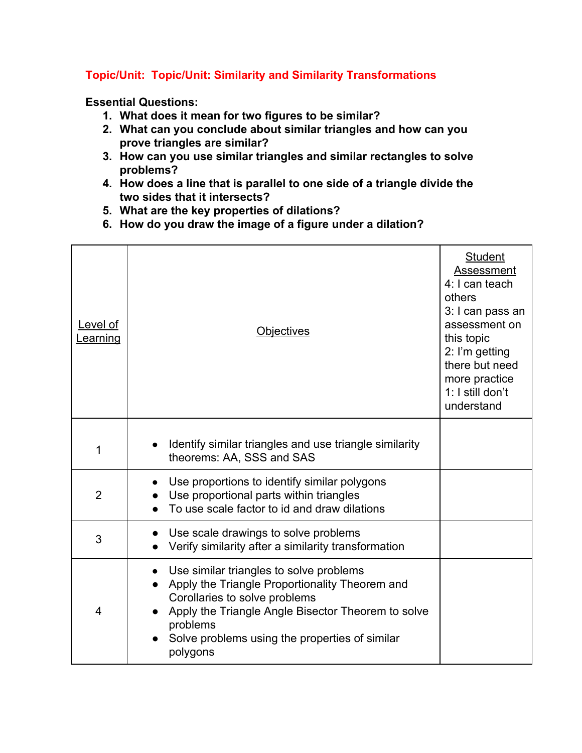# **Topic/Unit: Topic/Unit: Similarity and Similarity Transformations**

- **1. What does it mean for two figures to be similar?**
- **2. What can you conclude about similar triangles and how can you prove triangles are similar?**
- **3. How can you use similar triangles and similar rectangles to solve problems?**
- **4. How does a line that is parallel to one side of a triangle divide the two sides that it intersects?**
- **5. What are the key properties of dilations?**
- **6. How do you draw the image of a figure under a dilation?**

| Level of<br><b>Learning</b> | <b>Objectives</b>                                                                                                                                                                                                                                          | <b>Student</b><br>Assessment<br>4: I can teach<br>others<br>3: I can pass an<br>assessment on<br>this topic<br>2: I'm getting<br>there but need<br>more practice<br>1: I still don't<br>understand |
|-----------------------------|------------------------------------------------------------------------------------------------------------------------------------------------------------------------------------------------------------------------------------------------------------|----------------------------------------------------------------------------------------------------------------------------------------------------------------------------------------------------|
| 1                           | Identify similar triangles and use triangle similarity<br>theorems: AA, SSS and SAS                                                                                                                                                                        |                                                                                                                                                                                                    |
| $\overline{2}$              | Use proportions to identify similar polygons<br>Use proportional parts within triangles<br>To use scale factor to id and draw dilations                                                                                                                    |                                                                                                                                                                                                    |
| 3                           | Use scale drawings to solve problems<br>Verify similarity after a similarity transformation                                                                                                                                                                |                                                                                                                                                                                                    |
| 4                           | Use similar triangles to solve problems<br>Apply the Triangle Proportionality Theorem and<br>Corollaries to solve problems<br>Apply the Triangle Angle Bisector Theorem to solve<br>problems<br>Solve problems using the properties of similar<br>polygons |                                                                                                                                                                                                    |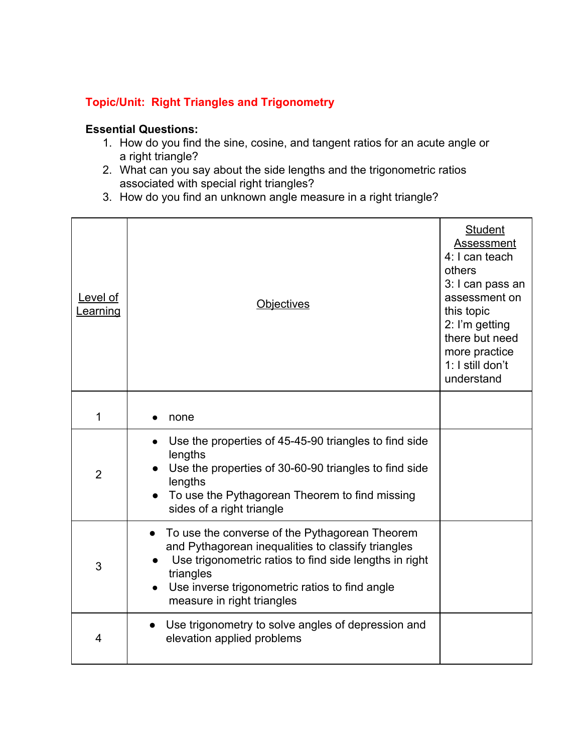# **Topic/Unit: Right Triangles and Trigonometry**

- 1. How do you find the sine, cosine, and tangent ratios for an acute angle or a right triangle?
- 2. What can you say about the side lengths and the trigonometric ratios associated with special right triangles?
- 3. How do you find an unknown angle measure in a right triangle?

| Level of<br>Learning | <b>Objectives</b>                                                                                                                                                                                                                                           | <b>Student</b><br><b>Assessment</b><br>4: I can teach<br>others<br>3: I can pass an<br>assessment on<br>this topic<br>2: I'm getting<br>there but need<br>more practice<br>1: I still don't<br>understand |
|----------------------|-------------------------------------------------------------------------------------------------------------------------------------------------------------------------------------------------------------------------------------------------------------|-----------------------------------------------------------------------------------------------------------------------------------------------------------------------------------------------------------|
| 1                    | none                                                                                                                                                                                                                                                        |                                                                                                                                                                                                           |
| $\overline{2}$       | Use the properties of 45-45-90 triangles to find side<br>lengths<br>Use the properties of 30-60-90 triangles to find side<br>lengths<br>To use the Pythagorean Theorem to find missing<br>sides of a right triangle                                         |                                                                                                                                                                                                           |
| 3                    | To use the converse of the Pythagorean Theorem<br>and Pythagorean inequalities to classify triangles<br>Use trigonometric ratios to find side lengths in right<br>triangles<br>Use inverse trigonometric ratios to find angle<br>measure in right triangles |                                                                                                                                                                                                           |
| 4                    | Use trigonometry to solve angles of depression and<br>$\bullet$<br>elevation applied problems                                                                                                                                                               |                                                                                                                                                                                                           |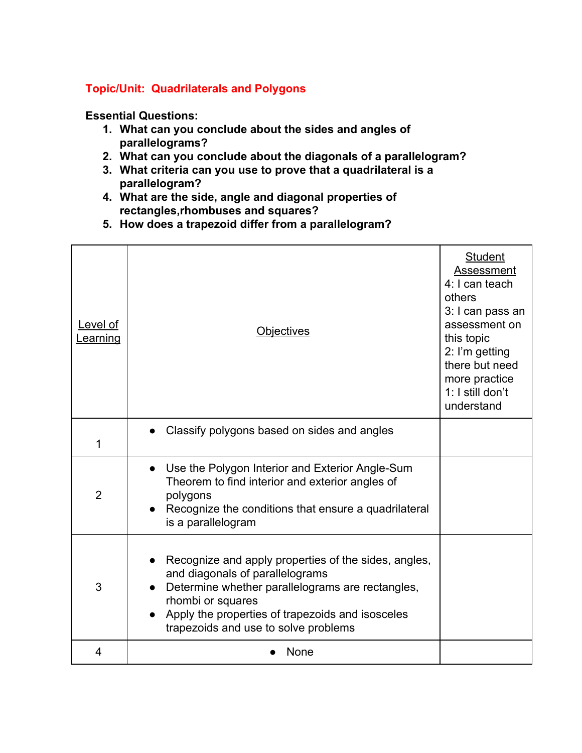# **Topic/Unit: Quadrilaterals and Polygons**

- **1. What can you conclude about the sides and angles of parallelograms?**
- **2. What can you conclude about the diagonals of a parallelogram?**
- **3. What criteria can you use to prove that a quadrilateral is a parallelogram?**
- **4. What are the side, angle and diagonal properties of rectangles,rhombuses and squares?**
- **5. How does a trapezoid differ from a parallelogram?**

| Level of<br><b>Learning</b> | <b>Objectives</b>                                                                                                                                                                                                                                            | <b>Student</b><br>Assessment<br>4: I can teach<br>others<br>3: I can pass an<br>assessment on<br>this topic<br>2: I'm getting<br>there but need<br>more practice<br>1: I still don't<br>understand |
|-----------------------------|--------------------------------------------------------------------------------------------------------------------------------------------------------------------------------------------------------------------------------------------------------------|----------------------------------------------------------------------------------------------------------------------------------------------------------------------------------------------------|
| 1                           | Classify polygons based on sides and angles                                                                                                                                                                                                                  |                                                                                                                                                                                                    |
| $\overline{2}$              | Use the Polygon Interior and Exterior Angle-Sum<br>Theorem to find interior and exterior angles of<br>polygons<br>Recognize the conditions that ensure a quadrilateral<br>is a parallelogram                                                                 |                                                                                                                                                                                                    |
| 3                           | Recognize and apply properties of the sides, angles,<br>and diagonals of parallelograms<br>Determine whether parallelograms are rectangles,<br>rhombi or squares<br>Apply the properties of trapezoids and isosceles<br>trapezoids and use to solve problems |                                                                                                                                                                                                    |
| $\overline{4}$              | None                                                                                                                                                                                                                                                         |                                                                                                                                                                                                    |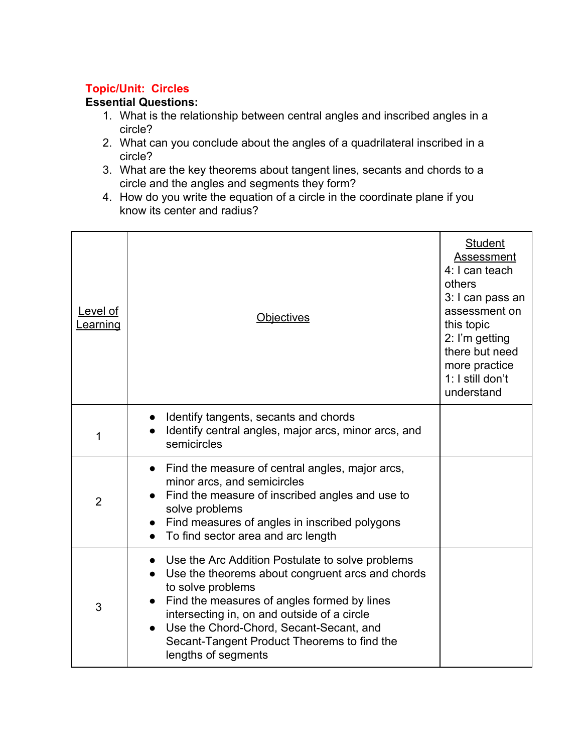# **Topic/Unit: Circles**

- 1. What is the relationship between central angles and inscribed angles in a circle?
- 2. What can you conclude about the angles of a quadrilateral inscribed in a circle?
- 3. What are the key theorems about tangent lines, secants and chords to a circle and the angles and segments they form?
- 4. How do you write the equation of a circle in the coordinate plane if you know its center and radius?

| Level of<br>Learning | <b>Objectives</b>                                                                                                                                                                                                                                                                                                                                     | <b>Student</b><br><b>Assessment</b><br>4: I can teach<br>others<br>3: I can pass an<br>assessment on<br>this topic<br>2: I'm getting<br>there but need<br>more practice<br>1: I still don't<br>understand |
|----------------------|-------------------------------------------------------------------------------------------------------------------------------------------------------------------------------------------------------------------------------------------------------------------------------------------------------------------------------------------------------|-----------------------------------------------------------------------------------------------------------------------------------------------------------------------------------------------------------|
| 1                    | Identify tangents, secants and chords<br>Identify central angles, major arcs, minor arcs, and<br>semicircles                                                                                                                                                                                                                                          |                                                                                                                                                                                                           |
| $\overline{2}$       | • Find the measure of central angles, major arcs,<br>minor arcs, and semicircles<br>Find the measure of inscribed angles and use to<br>solve problems<br>Find measures of angles in inscribed polygons<br>To find sector area and arc length                                                                                                          |                                                                                                                                                                                                           |
| 3                    | Use the Arc Addition Postulate to solve problems<br>$\bullet$<br>Use the theorems about congruent arcs and chords<br>to solve problems<br>Find the measures of angles formed by lines<br>intersecting in, on and outside of a circle<br>Use the Chord-Chord, Secant-Secant, and<br>Secant-Tangent Product Theorems to find the<br>lengths of segments |                                                                                                                                                                                                           |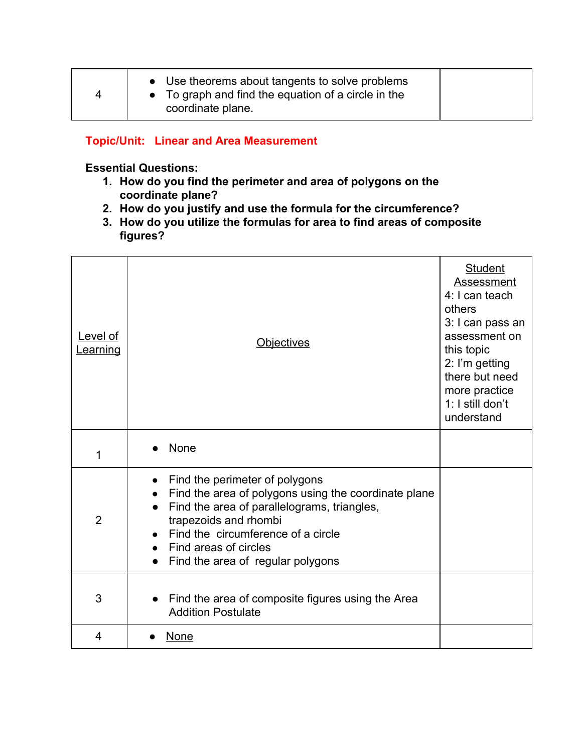| 4 | • Use theorems about tangents to solve problems<br>$\bullet$ To graph and find the equation of a circle in the<br>coordinate plane. |  |
|---|-------------------------------------------------------------------------------------------------------------------------------------|--|
|---|-------------------------------------------------------------------------------------------------------------------------------------|--|

# **Topic/Unit: Linear and Area Measurement**

- **1. How do you find the perimeter and area of polygons on the coordinate plane?**
- **2. How do you justify and use the formula for the circumference?**
- **3. How do you utilize the formulas for area to find areas of composite figures?**

| Level of<br><b>Learning</b> | <b>Objectives</b>                                                                                                                                                                                                                                                  | <b>Student</b><br>Assessment<br>4: I can teach<br>others<br>3: I can pass an<br>assessment on<br>this topic<br>2: I'm getting<br>there but need<br>more practice<br>1: I still don't<br>understand |
|-----------------------------|--------------------------------------------------------------------------------------------------------------------------------------------------------------------------------------------------------------------------------------------------------------------|----------------------------------------------------------------------------------------------------------------------------------------------------------------------------------------------------|
| 1                           | None                                                                                                                                                                                                                                                               |                                                                                                                                                                                                    |
| $\overline{2}$              | Find the perimeter of polygons<br>Find the area of polygons using the coordinate plane<br>Find the area of parallelograms, triangles,<br>trapezoids and rhombi<br>Find the circumference of a circle<br>Find areas of circles<br>Find the area of regular polygons |                                                                                                                                                                                                    |
| 3                           | Find the area of composite figures using the Area<br><b>Addition Postulate</b>                                                                                                                                                                                     |                                                                                                                                                                                                    |
| 4                           | None                                                                                                                                                                                                                                                               |                                                                                                                                                                                                    |